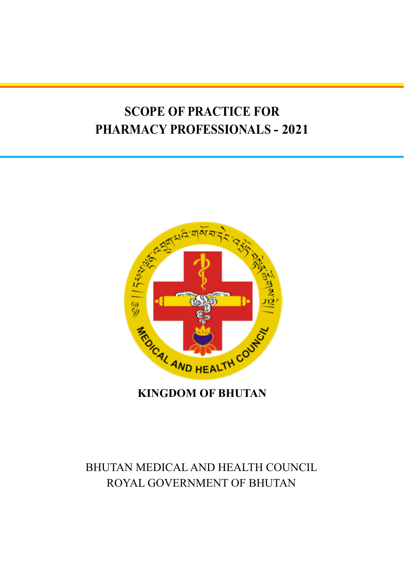# **SCOPE OF PRACTICE FOR PHARMACY PROFESSIONALS - 2021**



#### **KINGDOM OF BHUTAN**

## BHUTAN MEDICAL AND HEALTH COUNCIL ROYAL GOVERNMENT OF BHUTAN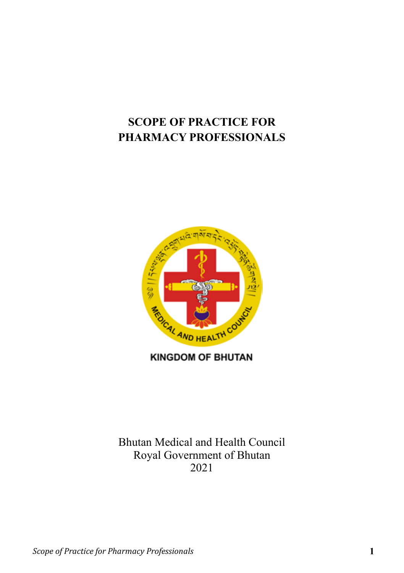## **SCOPE OF PRACTICE FOR PHARMACY PROFESSIONALS**



**KINGDOM OF BHUTAN** 

Bhutan Medical and Health Council Royal Government of Bhutan 2021

*Scope of Practice for Pharmacy Professionals* **1**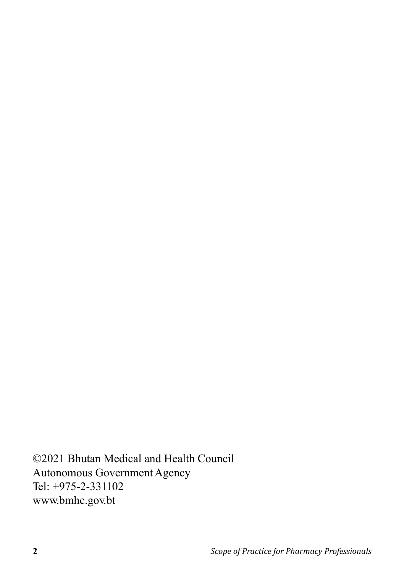©2021 Bhutan Medical and Health Council Autonomous Government Agency Tel: +975-2-331102 www.bmhc.gov.bt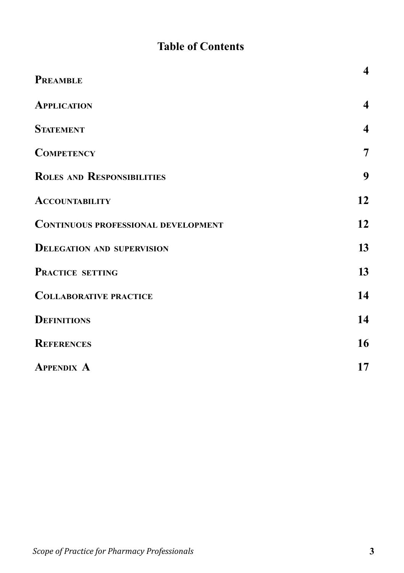## **Table of Contents**

| <b>PREAMBLE</b>                            | $\overline{\mathbf{4}}$ |
|--------------------------------------------|-------------------------|
| <b>APPLICATION</b>                         | $\overline{\mathbf{4}}$ |
| <b>STATEMENT</b>                           | $\overline{\mathbf{4}}$ |
| <b>COMPETENCY</b>                          | $\overline{7}$          |
| <b>ROLES AND RESPONSIBILITIES</b>          | 9                       |
| <b>ACCOUNTABILITY</b>                      | 12                      |
| <b>CONTINUOUS PROFESSIONAL DEVELOPMENT</b> | 12                      |
| <b>DELEGATION AND SUPERVISION</b>          | 13                      |
| PRACTICE SETTING                           | 13                      |
| <b>COLLABORATIVE PRACTICE</b>              | 14                      |
| <b>DEFINITIONS</b>                         | 14                      |
| <b>REFERENCES</b>                          | 16                      |
| <b>APPENDIX A</b>                          | 17                      |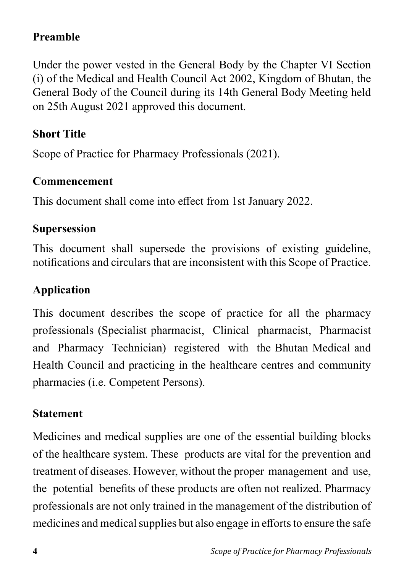### **Preamble**

Under the power vested in the General Body by the Chapter VI Section (i) of the Medical and Health Council Act 2002, Kingdom of Bhutan, the General Body of the Council during its 14th General Body Meeting held on 25th August 2021 approved this document.

### **Short Title**

Scope of Practice for Pharmacy Professionals (2021).

#### **Commencement**

This document shall come into effect from 1st January 2022.

#### **Supersession**

This document shall supersede the provisions of existing guideline, notifications and circulars that are inconsistent with this Scope of Practice.

#### **Application**

This document describes the scope of practice for all the pharmacy professionals (Specialist pharmacist, Clinical pharmacist, Pharmacist and Pharmacy Technician) registered with the Bhutan Medical and Health Council and practicing in the healthcare centres and community pharmacies (i.e. Competent Persons).

#### **Statement**

Medicines and medical supplies are one of the essential building blocks of the healthcare system. These products are vital for the prevention and treatment of diseases. However, without the proper management and use, the potential benefits of these products are often not realized. Pharmacy professionals are not only trained in the management of the distribution of medicines and medical supplies but also engage in efforts to ensure the safe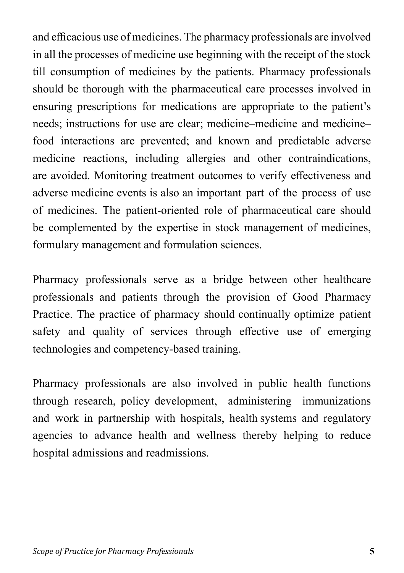and efficacious use of medicines. The pharmacy professionals are involved in all the processes of medicine use beginning with the receipt of the stock till consumption of medicines by the patients. Pharmacy professionals should be thorough with the pharmaceutical care processes involved in ensuring prescriptions for medications are appropriate to the patient's needs; instructions for use are clear; medicine–medicine and medicine– food interactions are prevented; and known and predictable adverse medicine reactions, including allergies and other contraindications, are avoided. Monitoring treatment outcomes to verify effectiveness and adverse medicine events is also an important part of the process of use of medicines. The patient-oriented role of pharmaceutical care should be complemented by the expertise in stock management of medicines, formulary management and formulation sciences.

Pharmacy professionals serve as a bridge between other healthcare professionals and patients through the provision of Good Pharmacy Practice. The practice of pharmacy should continually optimize patient safety and quality of services through effective use of emerging technologies and competency-based training.

Pharmacy professionals are also involved in public health functions through research, policy development, administering immunizations and work in partnership with hospitals, health systems and regulatory agencies to advance health and wellness thereby helping to reduce hospital admissions and readmissions.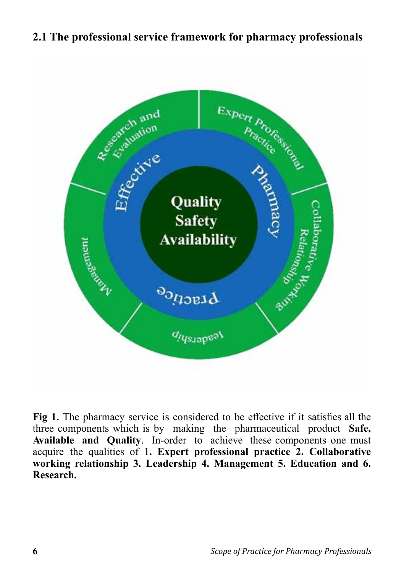#### **2.1 The professional service framework for pharmacy professionals**



**Fig 1.** The pharmacy service is considered to be effective if it satisfies all the three components which is by making the pharmaceutical product **Safe, Available and Quality**. In-order to achieve these components one must acquire the qualities of 1**. Expert professional practice 2. Collaborative working relationship 3. Leadership 4. Management 5. Education and 6. Research.**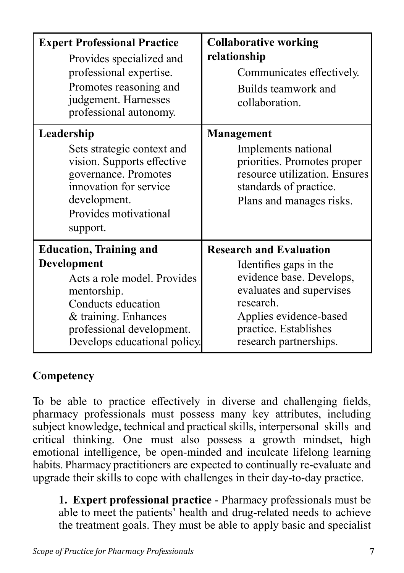| <b>Expert Professional Practice</b><br>Provides specialized and<br>professional expertise.<br>Promotes reasoning and<br>judgement. Harnesses<br>professional autonomy.                                 | <b>Collaborative working</b><br>relationship<br>Communicates effectively.<br>Builds teamwork and<br>collaboration.                                                                                         |
|--------------------------------------------------------------------------------------------------------------------------------------------------------------------------------------------------------|------------------------------------------------------------------------------------------------------------------------------------------------------------------------------------------------------------|
| Leadership<br>Sets strategic context and<br>vision. Supports effective<br>governance. Promotes<br>innovation for service<br>development.<br>Provides motivational<br>support.                          | <b>Management</b><br>Implements national<br>priorities. Promotes proper<br>resource utilization. Ensures<br>standards of practice.<br>Plans and manages risks.                                             |
| <b>Education, Training and</b><br>Development<br>Acts a role model. Provides<br>mentorship.<br>Conducts education<br>& training. Enhances<br>professional development.<br>Develops educational policy. | <b>Research and Evaluation</b><br>Identifies gaps in the<br>evidence base. Develops,<br>evaluates and supervises<br>research.<br>Applies evidence-based<br>practice. Establishes<br>research partnerships. |

### **Competency**

To be able to practice effectively in diverse and challenging fields, pharmacy professionals must possess many key attributes, including subject knowledge, technical and practical skills, interpersonal skills and critical thinking. One must also possess a growth mindset, high emotional intelligence, be open-minded and inculcate lifelong learning habits. Pharmacy practitioners are expected to continually re-evaluate and upgrade their skills to cope with challenges in their day-to-day practice.

**1. Expert professional practice** - Pharmacy professionals must be able to meet the patients' health and drug-related needs to achieve the treatment goals. They must be able to apply basic and specialist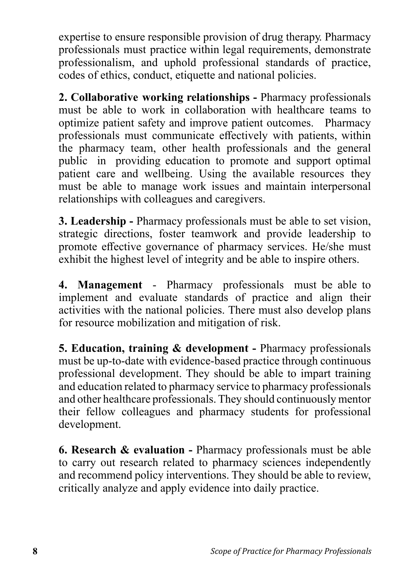expertise to ensure responsible provision of drug therapy. Pharmacy professionals must practice within legal requirements, demonstrate professionalism, and uphold professional standards of practice, codes of ethics, conduct, etiquette and national policies.

**2. Collaborative working relationships -** Pharmacy professionals must be able to work in collaboration with healthcare teams to optimize patient safety and improve patient outcomes. Pharmacy professionals must communicate effectively with patients, within the pharmacy team, other health professionals and the general public in providing education to promote and support optimal patient care and wellbeing. Using the available resources they must be able to manage work issues and maintain interpersonal relationships with colleagues and caregivers.

**3. Leadership -** Pharmacy professionals must be able to set vision, strategic directions, foster teamwork and provide leadership to promote effective governance of pharmacy services. He/she must exhibit the highest level of integrity and be able to inspire others.

**4. Management** - Pharmacy professionals must be able to implement and evaluate standards of practice and align their activities with the national policies. There must also develop plans for resource mobilization and mitigation of risk.

**5. Education, training & development -** Pharmacy professionals must be up-to-date with evidence-based practice through continuous professional development. They should be able to impart training and education related to pharmacy service to pharmacy professionals and other healthcare professionals. They should continuously mentor their fellow colleagues and pharmacy students for professional development.

**6. Research & evaluation -** Pharmacy professionals must be able to carry out research related to pharmacy sciences independently and recommend policy interventions. They should be able to review, critically analyze and apply evidence into daily practice.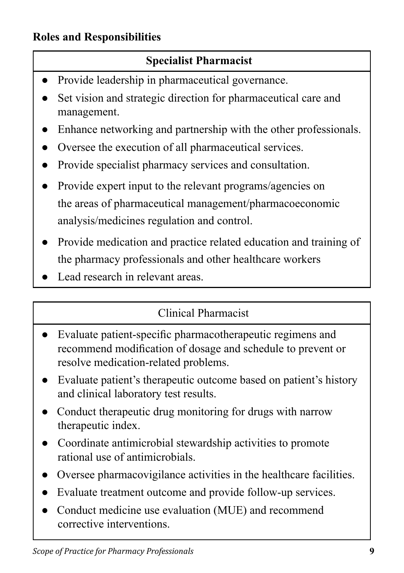### **Roles and Responsibilities**

### **Specialist Pharmacist**

- Provide leadership in pharmaceutical governance.
- Set vision and strategic direction for pharmaceutical care and management.
- Enhance networking and partnership with the other professionals.
- Oversee the execution of all pharmaceutical services.
- Provide specialist pharmacy services and consultation.
- Provide expert input to the relevant programs/agencies on the areas of pharmaceutical management/pharmacoeconomic analysis/medicines regulation and control.
- Provide medication and practice related education and training of the pharmacy professionals and other healthcare workers
- Lead research in relevant areas.

### Clinical Pharmacist

- Evaluate patient-specific pharmacotherapeutic regimens and recommend modification of dosage and schedule to prevent or resolve medication-related problems.
- Evaluate patient's therapeutic outcome based on patient's history and clinical laboratory test results.
- Conduct therapeutic drug monitoring for drugs with narrow therapeutic index.
- Coordinate antimicrobial stewardship activities to promote rational use of antimicrobials.
- Oversee pharmacovigilance activities in the healthcare facilities.
- Evaluate treatment outcome and provide follow-up services.
- Conduct medicine use evaluation (MUE) and recommend corrective interventions.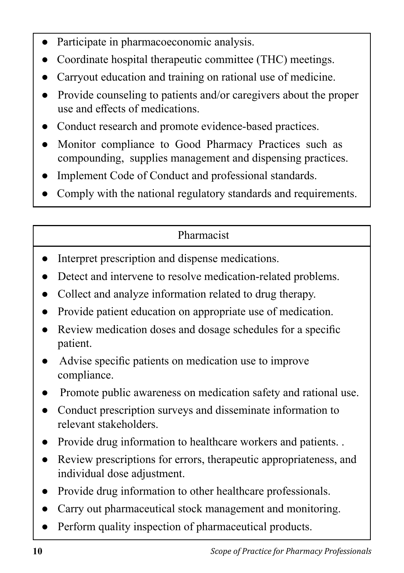- Participate in pharmacoeconomic analysis.
- Coordinate hospital therapeutic committee (THC) meetings.
- Carryout education and training on rational use of medicine.
- Provide counseling to patients and/or caregivers about the proper use and effects of medications.
- Conduct research and promote evidence-based practices.
- Monitor compliance to Good Pharmacy Practices such as compounding, supplies management and dispensing practices.
- Implement Code of Conduct and professional standards.
- Comply with the national regulatory standards and requirements.

### Pharmacist

- Interpret prescription and dispense medications.
- Detect and intervene to resolve medication-related problems.
- Collect and analyze information related to drug therapy.
- Provide patient education on appropriate use of medication.
- Review medication doses and dosage schedules for a specific patient.
- Advise specific patients on medication use to improve compliance.
- Promote public awareness on medication safety and rational use.
- Conduct prescription surveys and disseminate information to relevant stakeholders.
- Provide drug information to healthcare workers and patients. .
- Review prescriptions for errors, therapeutic appropriateness, and individual dose adjustment.
- Provide drug information to other healthcare professionals.
- Carry out pharmaceutical stock management and monitoring.
- Perform quality inspection of pharmaceutical products.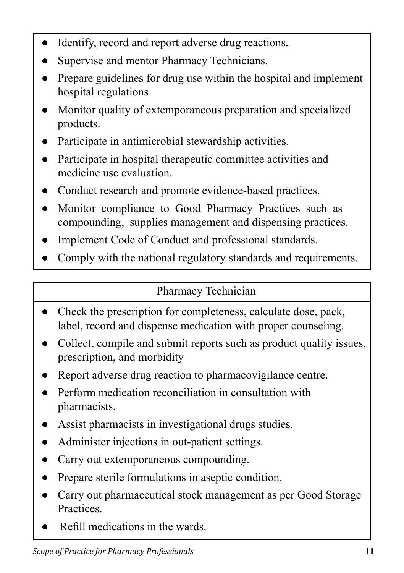- Identify, record and report adverse drug reactions.
- Supervise and mentor Pharmacy Technicians.
- Prepare guidelines for drug use within the hospital and implement hospital regulations
- Monitor quality of extemporaneous preparation and specialized products.
- Participate in antimicrobial stewardship activities.
- Participate in hospital therapeutic committee activities and medicine use evaluation.
- Conduct research and promote evidence-based practices.
- Monitor compliance to Good Pharmacy Practices such as compounding, supplies management and dispensing practices.
- Implement Code of Conduct and professional standards.
- Comply with the national regulatory standards and requirements.

### Pharmacy Technician

- Check the prescription for completeness, calculate dose, pack, label, record and dispense medication with proper counseling.
- Collect, compile and submit reports such as product quality issues, prescription, and morbidity
- Report adverse drug reaction to pharmacovigilance centre.
- Perform medication reconciliation in consultation with pharmacists.
- Assist pharmacists in investigational drugs studies.
- Administer injections in out-patient settings.
- Carry out extemporaneous compounding.
- Prepare sterile formulations in aseptic condition.
- Carry out pharmaceutical stock management as per Good Storage Practices.
- Refill medications in the wards.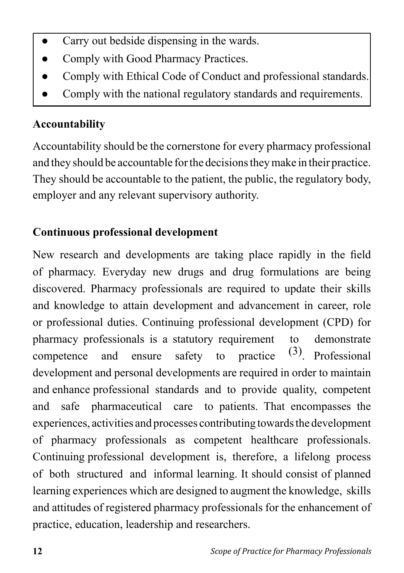- Carry out bedside dispensing in the wards.
- Comply with Good Pharmacy Practices.
- Comply with Ethical Code of Conduct and professional standards.
- Comply with the national regulatory standards and requirements.

### **Accountability**

Accountability should be the cornerstone for every pharmacy professional and they should be accountable for the decisions they make in their practice. They should be accountable to the patient, the public, the regulatory body, employer and any relevant supervisory authority.

### **Continuous professional development**

New research and developments are taking place rapidly in the field of pharmacy. Everyday new drugs and drug formulations are being discovered. Pharmacy professionals are required to update their skills and knowledge to attain development and advancement in career, role or professional duties. Continuing professional development (CPD) for pharmacy professionals is a statutory requirement to demonstrate competence and ensure safety to practice  $(3)$ . Professional development and personal developments are required in order to maintain and enhance professional standards and to provide quality, competent and safe pharmaceutical care to patients. That encompasses the experiences, activities and processes contributing towards the development of pharmacy professionals as competent healthcare professionals. Continuing professional development is, therefore, a lifelong process of both structured and informal learning. It should consist of planned learning experiences which are designed to augment the knowledge, skills and attitudes of registered pharmacy professionals for the enhancement of practice, education, leadership and researchers.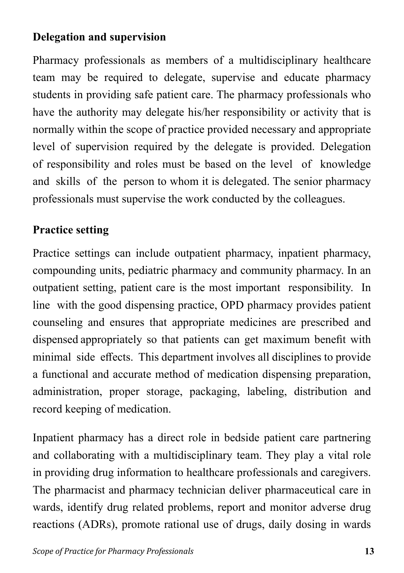#### **Delegation and supervision**

Pharmacy professionals as members of a multidisciplinary healthcare team may be required to delegate, supervise and educate pharmacy students in providing safe patient care. The pharmacy professionals who have the authority may delegate his/her responsibility or activity that is normally within the scope of practice provided necessary and appropriate level of supervision required by the delegate is provided. Delegation of responsibility and roles must be based on the level of knowledge and skills of the person to whom it is delegated. The senior pharmacy professionals must supervise the work conducted by the colleagues.

#### **Practice setting**

Practice settings can include outpatient pharmacy, inpatient pharmacy, compounding units, pediatric pharmacy and community pharmacy. In an outpatient setting, patient care is the most important responsibility. In line with the good dispensing practice, OPD pharmacy provides patient counseling and ensures that appropriate medicines are prescribed and dispensed appropriately so that patients can get maximum benefit with minimal side effects. This department involves all disciplines to provide a functional and accurate method of medication dispensing preparation, administration, proper storage, packaging, labeling, distribution and record keeping of medication.

Inpatient pharmacy has a direct role in bedside patient care partnering and collaborating with a multidisciplinary team. They play a vital role in providing drug information to healthcare professionals and caregivers. The pharmacist and pharmacy technician deliver pharmaceutical care in wards, identify drug related problems, report and monitor adverse drug reactions (ADRs), promote rational use of drugs, daily dosing in wards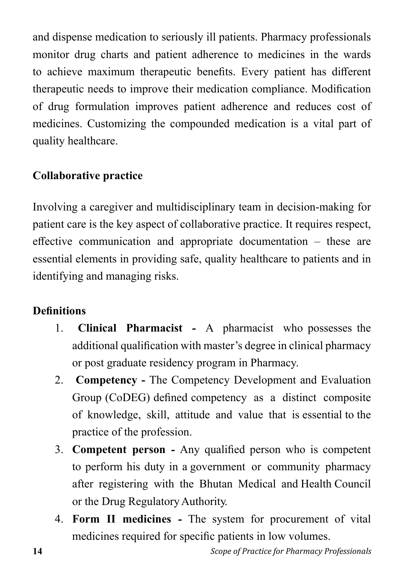and dispense medication to seriously ill patients. Pharmacy professionals monitor drug charts and patient adherence to medicines in the wards to achieve maximum therapeutic benefits. Every patient has different therapeutic needs to improve their medication compliance. Modification of drug formulation improves patient adherence and reduces cost of medicines. Customizing the compounded medication is a vital part of quality healthcare.

### **Collaborative practice**

Involving a caregiver and multidisciplinary team in decision-making for patient care is the key aspect of collaborative practice. It requires respect, effective communication and appropriate documentation – these are essential elements in providing safe, quality healthcare to patients and in identifying and managing risks.

### **Definitions**

- 1. **Clinical Pharmacist** A pharmacist who possesses the additional qualification with master's degree in clinical pharmacy or post graduate residency program in Pharmacy.
- 2. **Competency** The Competency Development and Evaluation Group (CoDEG) defined competency as a distinct composite of knowledge, skill, attitude and value that is essential to the practice of the profession.
- 3. **Competent person** Any qualified person who is competent to perform his duty in a government or community pharmacy after registering with the Bhutan Medical and Health Council or the Drug Regulatory Authority.
- 4. **Form II medicines** The system for procurement of vital medicines required for specific patients in low volumes.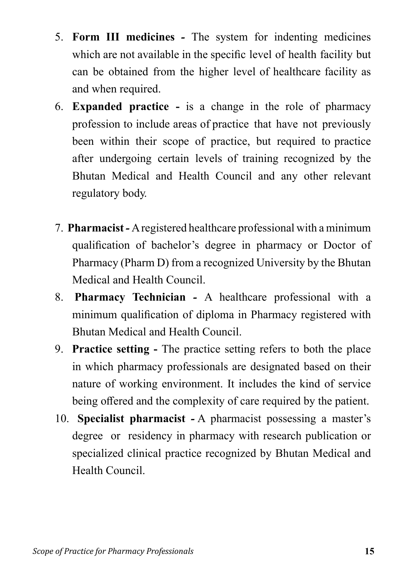- 5. **Form III medicines** The system for indenting medicines which are not available in the specific level of health facility but can be obtained from the higher level of healthcare facility as and when required.
- 6. **Expanded practice** is a change in the role of pharmacy profession to include areas of practice that have not previously been within their scope of practice, but required to practice after undergoing certain levels of training recognized by the Bhutan Medical and Health Council and any other relevant regulatory body.
- 7. **Pharmacist** A registered healthcare professional with a minimum qualification of bachelor's degree in pharmacy or Doctor of Pharmacy (Pharm D) from a recognized University by the Bhutan Medical and Health Council.
- 8. **Pharmacy Technician** A healthcare professional with a minimum qualification of diploma in Pharmacy registered with Bhutan Medical and Health Council.
- 9. **Practice setting** The practice setting refers to both the place in which pharmacy professionals are designated based on their nature of working environment. It includes the kind of service being offered and the complexity of care required by the patient.
- 10. **Specialist pharmacist** A pharmacist possessing a master's degree or residency in pharmacy with research publication or specialized clinical practice recognized by Bhutan Medical and Health Council.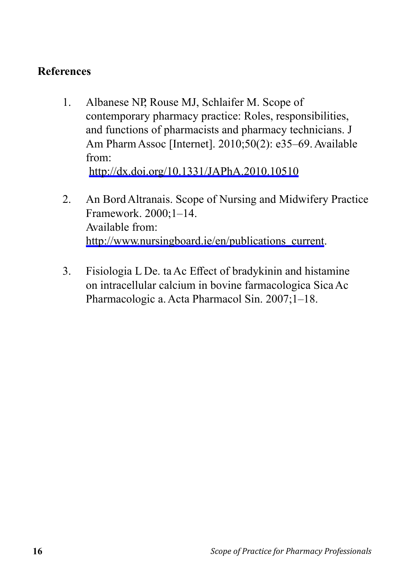#### **References**

- 1. Albanese NP, Rouse MJ, Schlaifer M. Scope of contemporary pharmacy practice: Roles, responsibilities, and functions of pharmacists and pharmacy technicians. J Am Pharm Assoc [Internet]. 2010;50(2): e35–69. Available from: http://dx.doi.org/10.1331/JAPhA.2010.10510
- 2. An Bord Altranais. Scope of Nursing and Midwifery Practice Framework. 2000;1–14. Available from: http://www.nursingboard.ie/en/publications\_current.
- 3. Fisiologia L De. ta Ac Effect of bradykinin and histamine on intracellular calcium in bovine farmacologica Sica Ac Pharmacologic a. Acta Pharmacol Sin. 2007;1–18.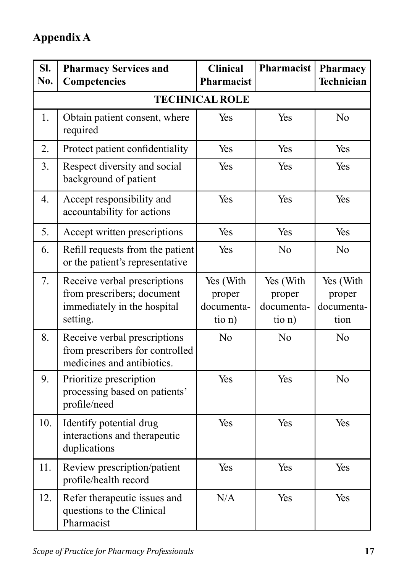# **Appendix A**

| SI.<br>No. | <b>Pharmacy Services and</b><br>Competencies                                                          | <b>Clinical</b><br>Pharmacist               | Pharmacist                                  | Pharmacy<br>Technician                    |
|------------|-------------------------------------------------------------------------------------------------------|---------------------------------------------|---------------------------------------------|-------------------------------------------|
|            |                                                                                                       | <b>TECHNICAL ROLE</b>                       |                                             |                                           |
| 1.         | Obtain patient consent, where<br>required                                                             | Yes                                         | Yes                                         | N <sub>o</sub>                            |
| 2.         | Protect patient confidentiality                                                                       | Yes                                         | Yes                                         | Yes                                       |
| 3.         | Respect diversity and social<br>background of patient                                                 | Yes                                         | Yes                                         | Yes                                       |
| 4.         | Accept responsibility and<br>accountability for actions                                               | Yes                                         | Yes                                         | Yes                                       |
| 5.         | Accept written prescriptions                                                                          | Yes                                         | Yes                                         | Yes                                       |
| 6.         | Refill requests from the patient<br>or the patient's representative                                   | Yes                                         | N <sub>o</sub>                              | N <sub>o</sub>                            |
| 7.         | Receive verbal prescriptions<br>from prescribers; document<br>immediately in the hospital<br>setting. | Yes (With<br>proper<br>documenta-<br>tio n) | Yes (With<br>proper<br>documenta-<br>tio n) | Yes (With<br>proper<br>documenta-<br>tion |
| 8.         | Receive verbal prescriptions<br>from prescribers for controlled<br>medicines and antibiotics.         | N <sub>o</sub>                              | No                                          | N <sub>o</sub>                            |
| 9.         | Prioritize prescription<br>processing based on patients'<br>profile/need                              | Yes                                         | Yes                                         | N <sub>o</sub>                            |
| 10.        | Identify potential drug<br>interactions and therapeutic<br>duplications                               | Yes                                         | Yes                                         | Yes                                       |
| 11.        | Review prescription/patient<br>profile/health record                                                  | Yes                                         | Yes                                         | Yes                                       |
| 12.        | Refer therapeutic issues and<br>questions to the Clinical<br>Pharmacist                               | N/A                                         | Yes                                         | Yes                                       |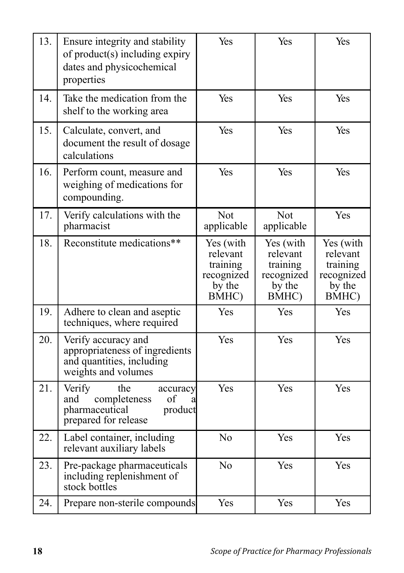| 13. | Ensure integrity and stability<br>of product(s) including expiry<br>dates and physicochemical<br>properties      | Yes                                                                | Yes                                                                | Yes                                                                |
|-----|------------------------------------------------------------------------------------------------------------------|--------------------------------------------------------------------|--------------------------------------------------------------------|--------------------------------------------------------------------|
| 14. | Take the medication from the<br>shelf to the working area                                                        | Yes                                                                | Yes                                                                | Yes                                                                |
| 15. | Calculate, convert, and<br>document the result of dosage<br>calculations                                         | Yes                                                                | Yes                                                                | Yes                                                                |
| 16. | Perform count, measure and<br>weighing of medications for<br>compounding.                                        | Yes                                                                | Yes                                                                | Yes                                                                |
| 17. | Verify calculations with the<br>pharmacist                                                                       | Not<br>applicable                                                  | Not<br>applicable                                                  | Yes                                                                |
| 18. | Reconstitute medications**                                                                                       | Yes (with<br>relevant<br>training<br>recognized<br>by the<br>BMHC) | Yes (with<br>relevant<br>training<br>recognized<br>by the<br>BMHC) | Yes (with<br>relevant<br>training<br>recognized<br>by the<br>BMHC) |
| 19. | Adhere to clean and aseptic<br>techniques, where required                                                        | Yes                                                                | Yes                                                                | Yes                                                                |
| 20. | Verify accuracy and<br>appropriateness of ingredients<br>and quantities, including<br>weights and volumes        | Yes                                                                | Yes                                                                | Yes                                                                |
| 21. | Verify<br>the<br>accuracy<br>completeness<br>and<br>οf<br>a<br>pharmaceutical<br>product<br>prepared for release | Yes                                                                | Yes                                                                | Yes                                                                |
| 22. | Label container, including<br>relevant auxiliary labels                                                          | N <sub>o</sub>                                                     | Yes                                                                | Yes                                                                |
| 23. | Pre-package pharmaceuticals<br>including replenishment of<br>stock bottles                                       | N <sub>o</sub>                                                     | Yes                                                                | Yes                                                                |
| 24. | Prepare non-sterile compounds                                                                                    | Yes                                                                | Yes                                                                | Yes                                                                |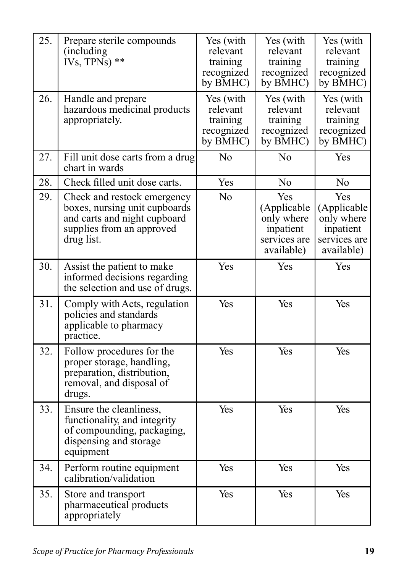| 25. | Prepare sterile compounds<br>(including)<br>IVs, TPNs) $**$                                                                             | Yes (with<br>relevant<br>training<br>recognized<br>by BMHC) | Yes (with<br>relevant<br>training<br>recognized<br>by BMHC)                 | Yes (with<br>relevant<br>training<br>recognized<br>by BMHC)                 |
|-----|-----------------------------------------------------------------------------------------------------------------------------------------|-------------------------------------------------------------|-----------------------------------------------------------------------------|-----------------------------------------------------------------------------|
| 26. | Handle and prepare<br>hazardous medicinal products<br>appropriately.                                                                    | Yes (with<br>relevant<br>training<br>recognized<br>by BMHC) | Yes (with<br>relevant<br>training<br>recognized<br>by BMHC)                 | Yes (with<br>relevant<br>training<br>recognized<br>by BMHC)                 |
| 27. | Fill unit dose carts from a drug<br>chart in wards                                                                                      | N <sub>o</sub>                                              | No                                                                          | Yes                                                                         |
| 28. | Check filled unit dose carts.                                                                                                           | Yes                                                         | No                                                                          | No                                                                          |
| 29. | Check and restock emergency<br>boxes, nursing unit cupboards<br>and carts and night cupboard<br>supplies from an approved<br>drug list. | N <sub>o</sub>                                              | Yes<br>(Applicable<br>only where<br>inpatient<br>services are<br>available) | Yes<br>(Applicable<br>only where<br>inpatient<br>services are<br>available) |
| 30. | Assist the patient to make<br>informed decisions regarding<br>the selection and use of drugs.                                           | Yes                                                         | Yes                                                                         | Yes                                                                         |
| 31. | Comply with Acts, regulation<br>policies and standards<br>applicable to pharmacy<br>practice.                                           | Yes                                                         | Yes                                                                         | Yes                                                                         |
| 32. | Follow procedures for the<br>proper storage, handling,<br>preparation, distribution,<br>removal, and disposal of<br>drugs.              | Yes                                                         | Yes                                                                         | Yes                                                                         |
| 33. | Ensure the cleanliness,<br>functionality, and integrity<br>of compounding, packaging,<br>dispensing and storage<br>equipment            | Yes                                                         | Yes                                                                         | Yes                                                                         |
| 34. | Perform routine equipment<br>calibration/validation                                                                                     | Yes                                                         | Yes                                                                         | Yes                                                                         |
| 35. | Store and transport<br>pharmaceutical products<br>appropriately                                                                         | Yes                                                         | Yes                                                                         | Yes                                                                         |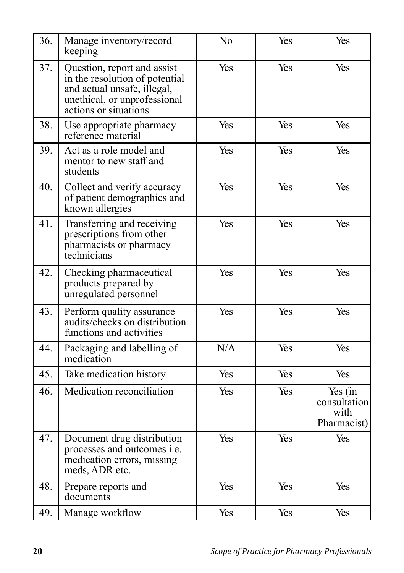| 36. | Manage inventory/record<br>keeping                                                                                                                    | No  | Yes | Yes                                            |
|-----|-------------------------------------------------------------------------------------------------------------------------------------------------------|-----|-----|------------------------------------------------|
| 37. | Question, report and assist<br>in the resolution of potential<br>and actual unsafe, illegal,<br>unethical, or unprofessional<br>actions or situations | Yes | Yes | Yes                                            |
| 38. | Use appropriate pharmacy<br>reference material                                                                                                        | Yes | Yes | Yes                                            |
| 39. | Act as a role model and<br>mentor to new staff and<br>students                                                                                        | Yes | Yes | Yes                                            |
| 40. | Collect and verify accuracy<br>of patient demographics and<br>known allergies                                                                         | Yes | Yes | Yes                                            |
| 41. | Transferring and receiving<br>prescriptions from other<br>pharmacists or pharmacy<br>technicians                                                      | Yes | Yes | Yes                                            |
| 42. | Checking pharmaceutical<br>products prepared by<br>unregulated personnel                                                                              | Yes | Yes | Yes                                            |
| 43. | Perform quality assurance<br>audits/checks on distribution<br>functions and activities                                                                | Yes | Yes | Yes                                            |
| 44. | Packaging and labelling of<br>medication                                                                                                              | N/A | Yes | Yes                                            |
| 45. | Take medication history                                                                                                                               | Yes | Yes | Yes                                            |
| 46. | Medication reconciliation                                                                                                                             | Yes | Yes | Yes (in<br>consultation<br>with<br>Pharmacist) |
| 47. | Document drug distribution<br>processes and outcomes i.e.<br>medication errors, missing<br>meds, ADR etc.                                             | Yes | Yes | Yes                                            |
| 48. | Prepare reports and<br>documents                                                                                                                      | Yes | Yes | Yes                                            |
| 49. | Manage workflow                                                                                                                                       | Yes | Yes | Yes                                            |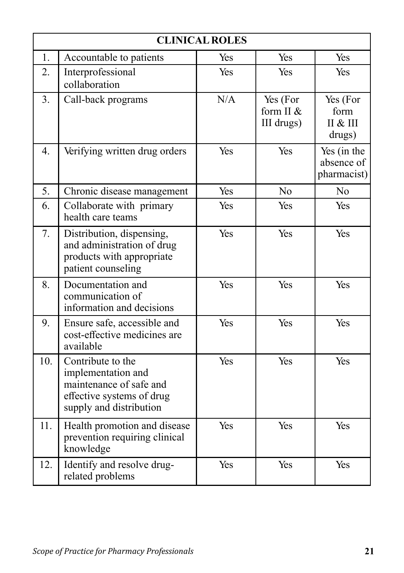| <b>CLINICAL ROLES</b> |                                                                                                                            |     |                                     |                                          |
|-----------------------|----------------------------------------------------------------------------------------------------------------------------|-----|-------------------------------------|------------------------------------------|
| 1.                    | Accountable to patients                                                                                                    | Yes | Yes                                 | Yes                                      |
| 2.                    | Interprofessional<br>collaboration                                                                                         | Yes | Yes                                 | <b>Yes</b>                               |
| 3.                    | Call-back programs                                                                                                         | N/A | Yes (For<br>form II &<br>III drugs) | Yes (For<br>form<br>II & III<br>drugs)   |
| 4.                    | Verifying written drug orders                                                                                              | Yes | Yes                                 | Yes (in the<br>absence of<br>pharmacist) |
| 5.                    | Chronic disease management                                                                                                 | Yes | No                                  | N <sub>o</sub>                           |
| 6.                    | Collaborate with primary<br>health care teams                                                                              | Yes | Yes                                 | Yes                                      |
| 7.                    | Distribution, dispensing,<br>and administration of drug<br>products with appropriate<br>patient counseling                 | Yes | Yes                                 | Yes                                      |
| 8.                    | Documentation and<br>communication of<br>information and decisions                                                         | Yes | Yes                                 | Yes                                      |
| 9.                    | Ensure safe, accessible and<br>cost-effective medicines are<br>available                                                   | Yes | Yes                                 | Yes                                      |
| 10.                   | Contribute to the<br>implementation and<br>maintenance of safe and<br>effective systems of drug<br>supply and distribution | Yes | Yes                                 | Yes                                      |
| 11.                   | Health promotion and disease<br>prevention requiring clinical<br>knowledge                                                 | Yes | Yes                                 | Yes                                      |
| 12.                   | Identify and resolve drug-<br>related problems                                                                             | Yes | Yes                                 | Yes                                      |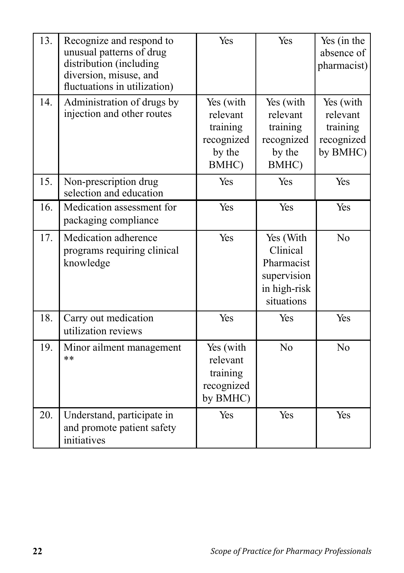| 13. | Recognize and respond to<br>unusual patterns of drug<br>distribution (including<br>diversion, misuse, and<br>fluctuations in utilization) | Yes                                                                | Yes                                                                              | Yes (in the<br>absence of<br>pharmacist)                    |
|-----|-------------------------------------------------------------------------------------------------------------------------------------------|--------------------------------------------------------------------|----------------------------------------------------------------------------------|-------------------------------------------------------------|
| 14. | Administration of drugs by<br>injection and other routes                                                                                  | Yes (with<br>relevant<br>training<br>recognized<br>by the<br>BMHC) | Yes (with<br>relevant<br>training<br>recognized<br>by the<br>BMHC)               | Yes (with<br>relevant<br>training<br>recognized<br>by BMHC) |
| 15. | Non-prescription drug<br>selection and education                                                                                          | Yes                                                                | Yes                                                                              | Yes                                                         |
| 16. | Medication assessment for<br>packaging compliance                                                                                         | Yes                                                                | Yes                                                                              | Yes                                                         |
| 17. | Medication adherence<br>programs requiring clinical<br>knowledge                                                                          | Yes                                                                | Yes (With<br>Clinical<br>Pharmacist<br>supervision<br>in high-risk<br>situations | N <sub>o</sub>                                              |
| 18. | Carry out medication<br>utilization reviews                                                                                               | Yes                                                                | Yes                                                                              | Yes                                                         |
| 19. | Minor ailment management<br>$**$                                                                                                          | Yes (with<br>relevant<br>training<br>recognized<br>by BMHC)        | N <sub>o</sub>                                                                   | N <sub>o</sub>                                              |
| 20. | Understand, participate in<br>and promote patient safety<br>initiatives                                                                   | Yes                                                                | Yes                                                                              | Yes                                                         |